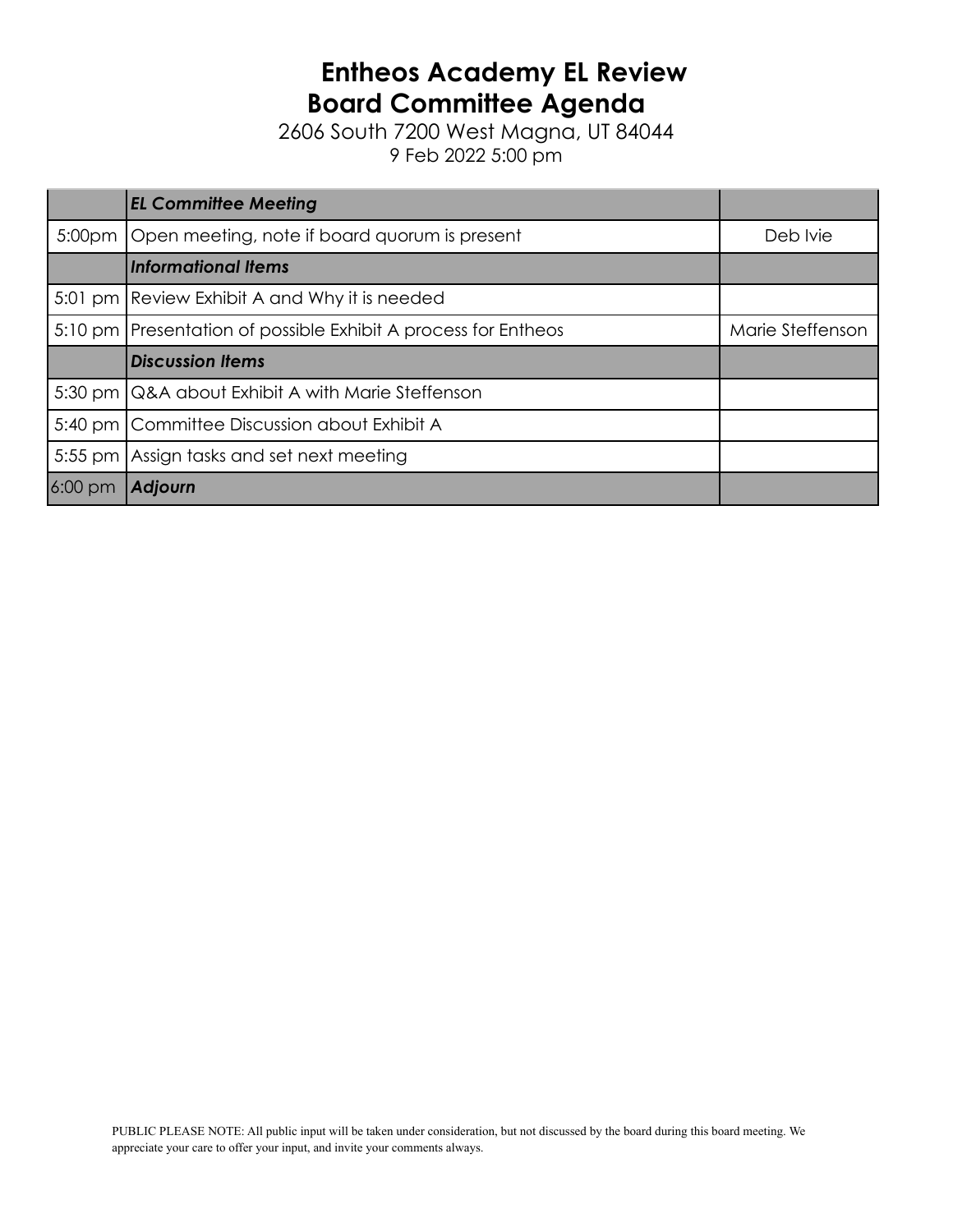## **Entheos Academy EL Review Board Committee Agenda**

2606 South 7200 West Magna, UT 84044 9 Feb 2022 5:00 pm

| <b>EL Committee Meeting</b>                                      |                  |  |  |
|------------------------------------------------------------------|------------------|--|--|
| 5:00pm   Open meeting, note if board quorum is present           |                  |  |  |
| <b>Informational Items</b>                                       |                  |  |  |
| 5:01 pm Review Exhibit A and Why it is needed                    |                  |  |  |
| 5:10 pm   Presentation of possible Exhibit A process for Entheos | Marie Steffenson |  |  |
| <b>Discussion Items</b>                                          |                  |  |  |
|                                                                  |                  |  |  |
| 5:30 pm Q&A about Exhibit A with Marie Steffenson                |                  |  |  |
| 5:40 pm Committee Discussion about Exhibit A                     |                  |  |  |
| 5:55 pm Assign tasks and set next meeting                        |                  |  |  |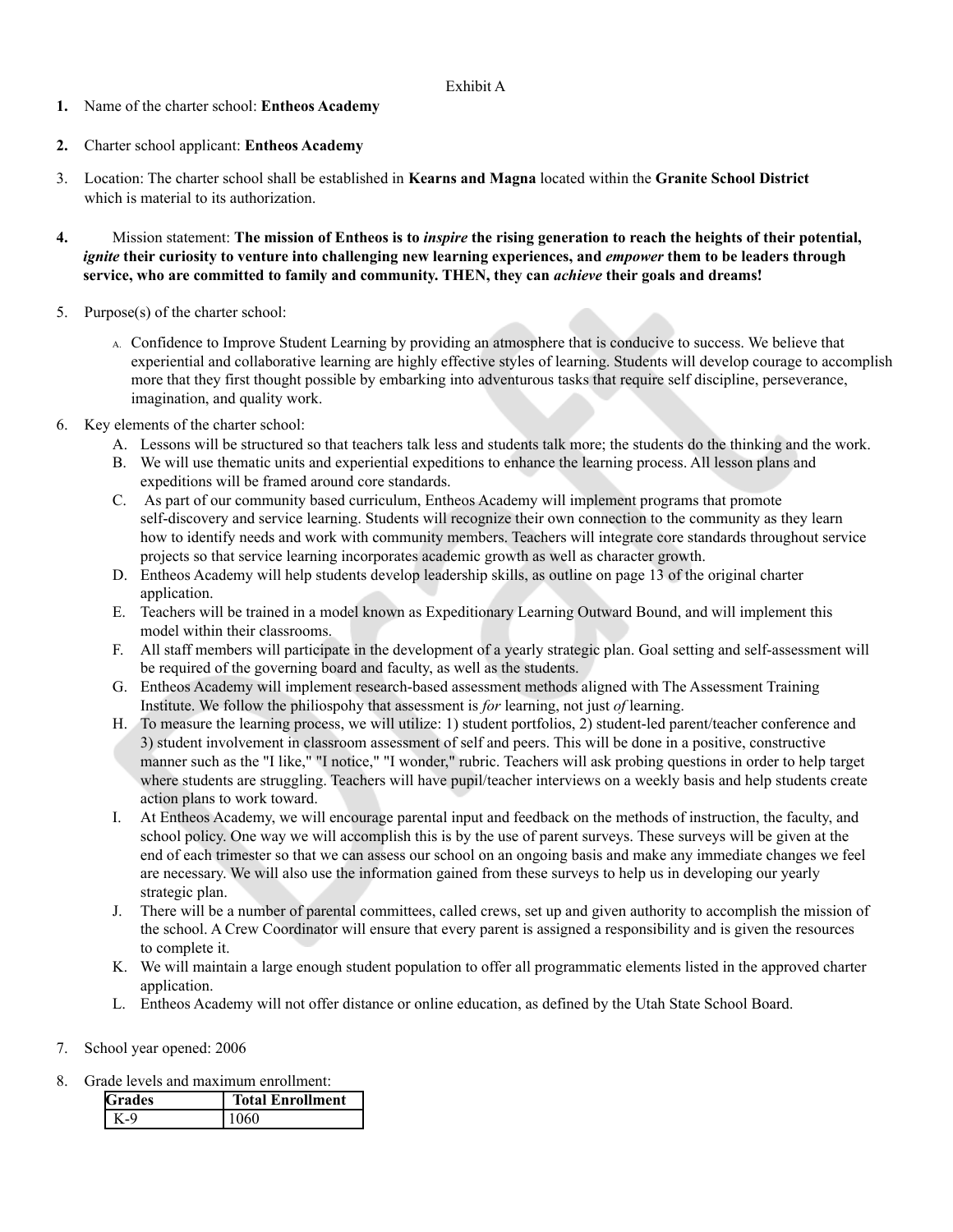## Exhibit A

- **1.** Name of the charter school: **Entheos Academy**
- **2.** Charter school applicant: **Entheos Academy**
- 3. Location: The charter school shall be established in **Kearns and Magna** located within the **Granite School District** which is material to its authorization.
- 4. Mission statement: The mission of Entheos is to *inspire* the rising generation to reach the heights of their potential, ignite their curiosity to venture into challenging new learning experiences, and empower them to be leaders through **service, who are committed to family and community. THEN, they can** *achieve* **their goals and dreams!**
- 5. Purpose(s) of the charter school:
	- A. Confidence to Improve Student Learning by providing an atmosphere that is conducive to success. We believe that experiential and collaborative learning are highly effective styles of learning. Students will develop courage to accomplish more that they first thought possible by embarking into adventurous tasks that require self discipline, perseverance, imagination, and quality work.
- 6. Key elements of the charter school:
	- A. Lessons will be structured so that teachers talk less and students talk more; the students do the thinking and the work.
	- B. We will use thematic units and experiential expeditions to enhance the learning process. All lesson plans and expeditions will be framed around core standards.
	- C. As part of our community based curriculum, Entheos Academy will implement programs that promote self-discovery and service learning. Students will recognize their own connection to the community as they learn how to identify needs and work with community members. Teachers will integrate core standards throughout service projects so that service learning incorporates academic growth as well as character growth.
	- D. Entheos Academy will help students develop leadership skills, as outline on page 13 of the original charter application.
	- E. Teachers will be trained in a model known as Expeditionary Learning Outward Bound, and will implement this model within their classrooms.
	- F. All staff members will participate in the development of a yearly strategic plan. Goal setting and self-assessment will be required of the governing board and faculty, as well as the students.
	- G. Entheos Academy will implement research-based assessment methods aligned with The Assessment Training Institute. We follow the philiospohy that assessment is *for* learning, not just *of* learning.
	- H. To measure the learning process, we will utilize: 1) student portfolios, 2) student-led parent/teacher conference and 3) student involvement in classroom assessment of self and peers. This will be done in a positive, constructive manner such as the "I like," "I notice," "I wonder," rubric. Teachers will ask probing questions in order to help target where students are struggling. Teachers will have pupil/teacher interviews on a weekly basis and help students create action plans to work toward.
	- I. At Entheos Academy, we will encourage parental input and feedback on the methods of instruction, the faculty, and school policy. One way we will accomplish this is by the use of parent surveys. These surveys will be given at the end of each trimester so that we can assess our school on an ongoing basis and make any immediate changes we feel are necessary. We will also use the information gained from these surveys to help us in developing our yearly strategic plan.
	- J. There will be a number of parental committees, called crews, set up and given authority to accomplish the mission of the school. A Crew Coordinator will ensure that every parent is assigned a responsibility and is given the resources to complete it.
	- K. We will maintain a large enough student population to offer all programmatic elements listed in the approved charter application.
	- L. Entheos Academy will not offer distance or online education, as defined by the Utah State School Board.
- 7. School year opened: 2006
- 8. Grade levels and maximum enrollment:

| Grades | <b>Total Enrollment</b> |
|--------|-------------------------|
|        |                         |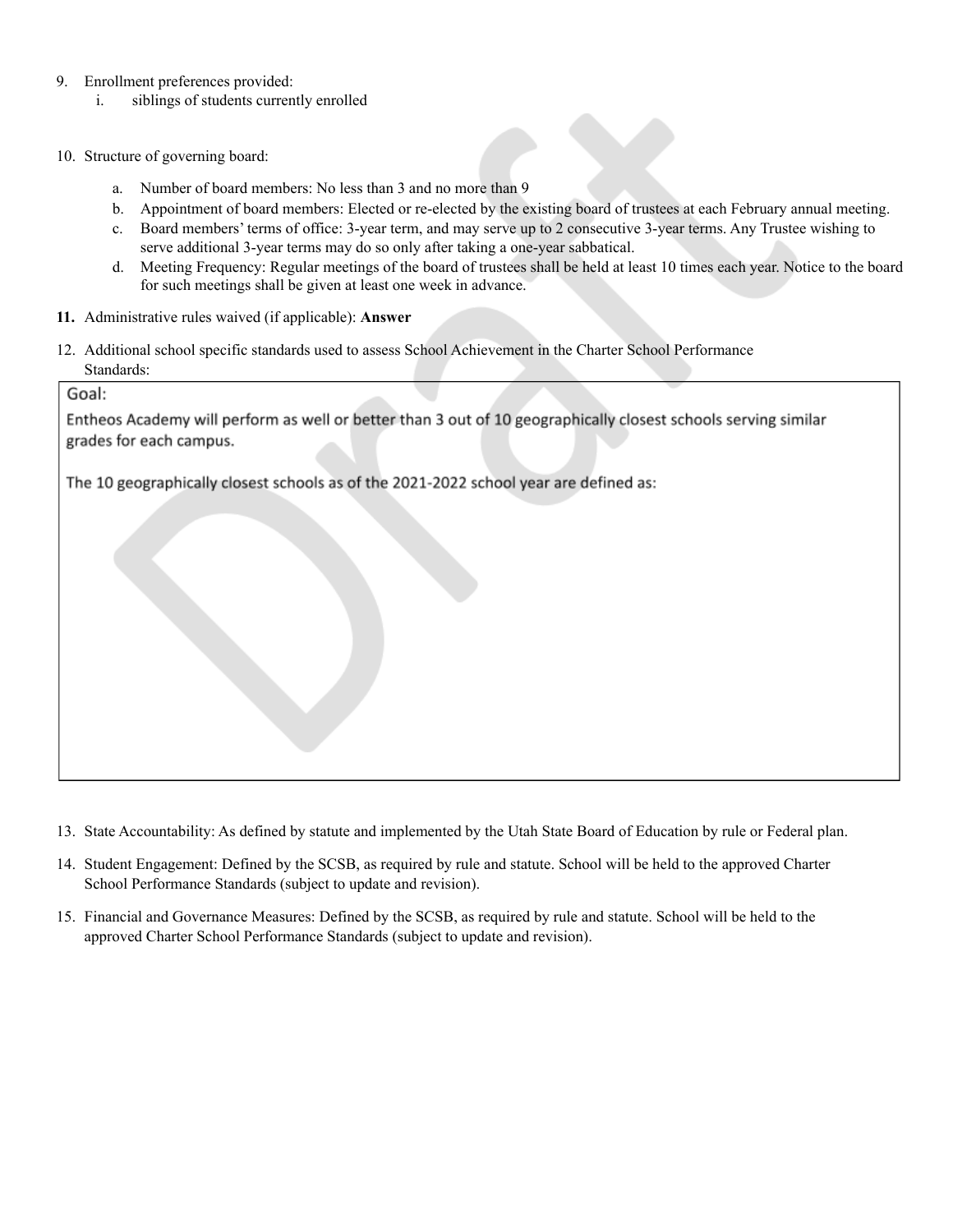- 9. Enrollment preferences provided:
	- i. siblings of students currently enrolled
- 10. Structure of governing board:
	- a. Number of board members: No less than 3 and no more than 9
	- b. Appointment of board members: Elected or re-elected by the existing board of trustees at each February annual meeting.
	- c. Board members' terms of office: 3-year term, and may serve up to 2 consecutive 3-year terms. Any Trustee wishing to serve additional 3-year terms may do so only after taking a one-year sabbatical.
	- d. Meeting Frequency: Regular meetings of the board of trustees shall be held at least 10 times each year. Notice to the board for such meetings shall be given at least one week in advance.
- **11.** Administrative rules waived (if applicable): **Answer**
- 12. Additional school specific standards used to assess School Achievement in the Charter School Performance Standards:

Goal:

Entheos Academy will perform as well or better than 3 out of 10 geographically closest schools serving similar grades for each campus.

The 10 geographically closest schools as of the 2021-2022 school year are defined as:

- 13. State Accountability: As defined by statute and implemented by the Utah State Board of Education by rule or Federal plan.
- 14. Student Engagement: Defined by the SCSB, as required by rule and statute. School will be held to the approved Charter School Performance Standards (subject to update and revision).
- 15. Financial and Governance Measures: Defined by the SCSB, as required by rule and statute. School will be held to the approved Charter School Performance Standards (subject to update and revision).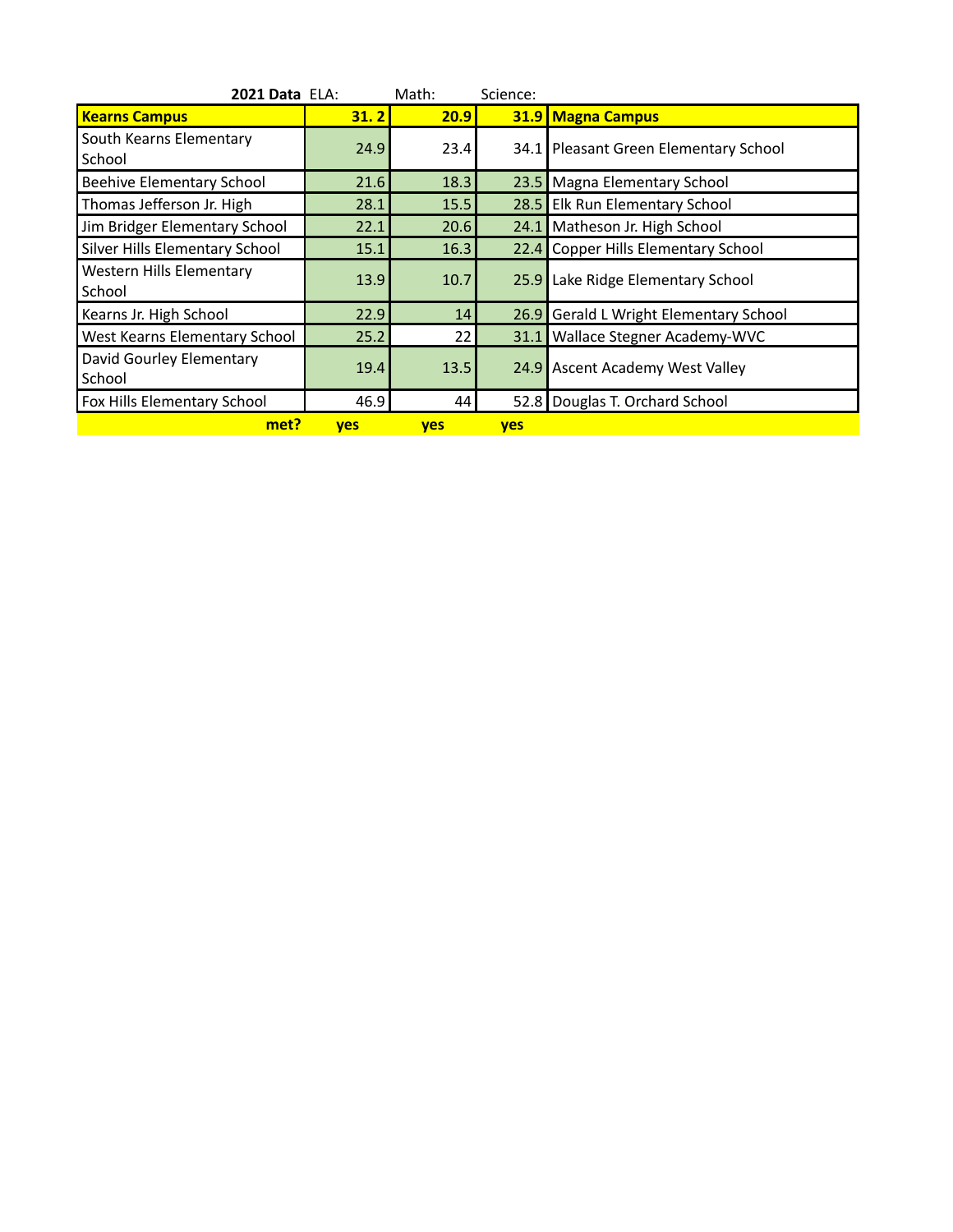| <b>2021 Data ELA:</b>                     |            | Math:      | Science:   |                                        |
|-------------------------------------------|------------|------------|------------|----------------------------------------|
| <b>Kearns Campus</b>                      | 31.2       | 20.9       |            | <b>31.9 Magna Campus</b>               |
| South Kearns Elementary<br>School         | 24.9       | 23.4       |            | 34.1 Pleasant Green Elementary School  |
| Beehive Elementary School                 | 21.6       | 18.3       |            | 23.5   Magna Elementary School         |
| Thomas Jefferson Jr. High                 | 28.1       | 15.5       |            | 28.5 Elk Run Elementary School         |
| Jim Bridger Elementary School             | 22.1       | 20.6       | 24.11      | Matheson Jr. High School               |
| Silver Hills Elementary School            | 15.1       | 16.3       |            | 22.4 Copper Hills Elementary School    |
| <b>Western Hills Elementary</b><br>School | 13.9       | 10.7       | 25.9       | Lake Ridge Elementary School           |
| Kearns Jr. High School                    | 22.9       | 14         |            | 26.9 Gerald L Wright Elementary School |
| West Kearns Elementary School             | 25.2       | 22         | 31.1       | Wallace Stegner Academy-WVC            |
| David Gourley Elementary<br>School        | 19.4       | 13.5       |            | 24.9 Ascent Academy West Valley        |
| Fox Hills Elementary School               | 46.9       | 44         |            | 52.8 Douglas T. Orchard School         |
| met?                                      | <b>yes</b> | <b>yes</b> | <b>yes</b> |                                        |